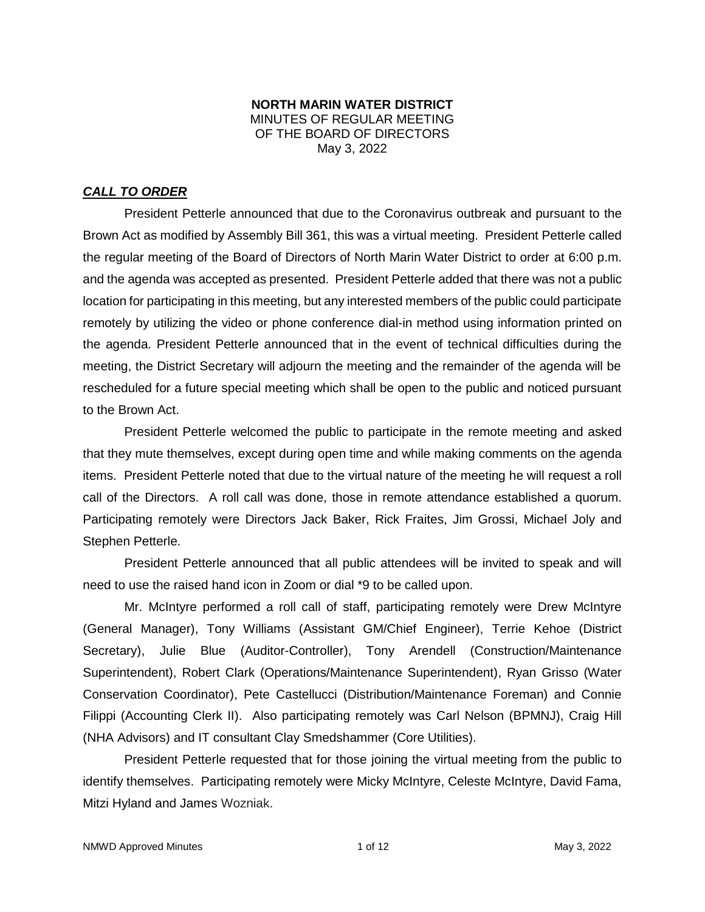#### **NORTH MARIN WATER DISTRICT** MINUTES OF REGULAR MEETING OF THE BOARD OF DIRECTORS May 3, 2022

### *CALL TO ORDER*

President Petterle announced that due to the Coronavirus outbreak and pursuant to the Brown Act as modified by Assembly Bill 361, this was a virtual meeting. President Petterle called the regular meeting of the Board of Directors of North Marin Water District to order at 6:00 p.m. and the agenda was accepted as presented. President Petterle added that there was not a public location for participating in this meeting, but any interested members of the public could participate remotely by utilizing the video or phone conference dial-in method using information printed on the agenda. President Petterle announced that in the event of technical difficulties during the meeting, the District Secretary will adjourn the meeting and the remainder of the agenda will be rescheduled for a future special meeting which shall be open to the public and noticed pursuant to the Brown Act.

President Petterle welcomed the public to participate in the remote meeting and asked that they mute themselves, except during open time and while making comments on the agenda items. President Petterle noted that due to the virtual nature of the meeting he will request a roll call of the Directors. A roll call was done, those in remote attendance established a quorum. Participating remotely were Directors Jack Baker, Rick Fraites, Jim Grossi, Michael Joly and Stephen Petterle.

President Petterle announced that all public attendees will be invited to speak and will need to use the raised hand icon in Zoom or dial \*9 to be called upon.

Mr. McIntyre performed a roll call of staff, participating remotely were Drew McIntyre (General Manager), Tony Williams (Assistant GM/Chief Engineer), Terrie Kehoe (District Secretary), Julie Blue (Auditor-Controller), Tony Arendell (Construction/Maintenance Superintendent), Robert Clark (Operations/Maintenance Superintendent), Ryan Grisso (Water Conservation Coordinator), Pete Castellucci (Distribution/Maintenance Foreman) and Connie Filippi (Accounting Clerk II). Also participating remotely was Carl Nelson (BPMNJ), Craig Hill (NHA Advisors) and IT consultant Clay Smedshammer (Core Utilities).

President Petterle requested that for those joining the virtual meeting from the public to identify themselves. Participating remotely were Micky McIntyre, Celeste McIntyre, David Fama, Mitzi Hyland and James Wozniak.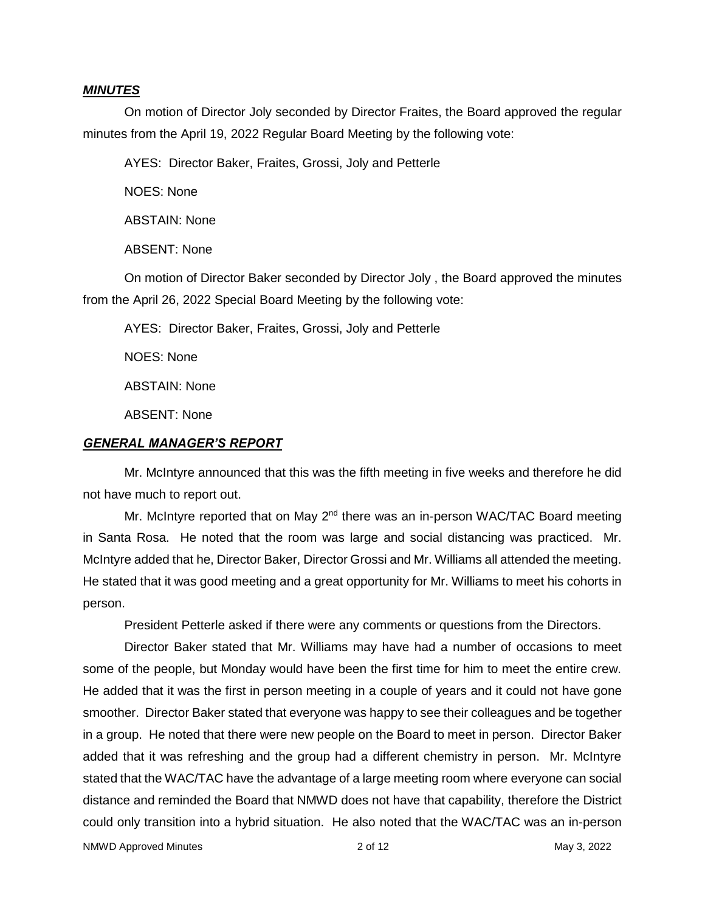#### *MINUTES*

On motion of Director Joly seconded by Director Fraites, the Board approved the regular minutes from the April 19, 2022 Regular Board Meeting by the following vote:

AYES: Director Baker, Fraites, Grossi, Joly and Petterle

NOES: None

ABSTAIN: None

ABSENT: None

On motion of Director Baker seconded by Director Joly , the Board approved the minutes from the April 26, 2022 Special Board Meeting by the following vote:

AYES: Director Baker, Fraites, Grossi, Joly and Petterle

NOES: None

ABSTAIN: None

ABSENT: None

#### *GENERAL MANAGER'S REPORT*

Mr. McIntyre announced that this was the fifth meeting in five weeks and therefore he did not have much to report out.

Mr. McIntyre reported that on May  $2^{nd}$  there was an in-person WAC/TAC Board meeting in Santa Rosa. He noted that the room was large and social distancing was practiced. Mr. McIntyre added that he, Director Baker, Director Grossi and Mr. Williams all attended the meeting. He stated that it was good meeting and a great opportunity for Mr. Williams to meet his cohorts in person.

President Petterle asked if there were any comments or questions from the Directors.

Director Baker stated that Mr. Williams may have had a number of occasions to meet some of the people, but Monday would have been the first time for him to meet the entire crew. He added that it was the first in person meeting in a couple of years and it could not have gone smoother. Director Baker stated that everyone was happy to see their colleagues and be together in a group. He noted that there were new people on the Board to meet in person. Director Baker added that it was refreshing and the group had a different chemistry in person. Mr. McIntyre stated that the WAC/TAC have the advantage of a large meeting room where everyone can social distance and reminded the Board that NMWD does not have that capability, therefore the District could only transition into a hybrid situation. He also noted that the WAC/TAC was an in-person

NMWD Approved Minutes **2 of 12** and 2 of 12 May 3, 2022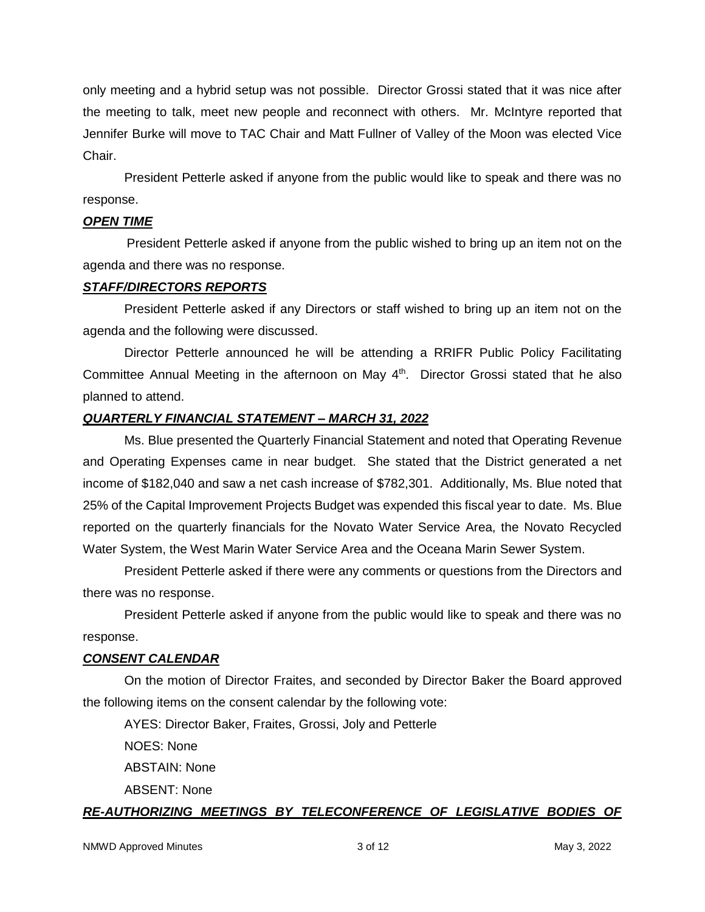only meeting and a hybrid setup was not possible. Director Grossi stated that it was nice after the meeting to talk, meet new people and reconnect with others. Mr. McIntyre reported that Jennifer Burke will move to TAC Chair and Matt Fullner of Valley of the Moon was elected Vice Chair.

President Petterle asked if anyone from the public would like to speak and there was no response.

#### *OPEN TIME*

President Petterle asked if anyone from the public wished to bring up an item not on the agenda and there was no response.

#### *STAFF/DIRECTORS REPORTS*

President Petterle asked if any Directors or staff wished to bring up an item not on the agenda and the following were discussed.

Director Petterle announced he will be attending a RRIFR Public Policy Facilitating Committee Annual Meeting in the afternoon on May 4<sup>th</sup>. Director Grossi stated that he also planned to attend.

### *QUARTERLY FINANCIAL STATEMENT – MARCH 31, 2022*

Ms. Blue presented the Quarterly Financial Statement and noted that Operating Revenue and Operating Expenses came in near budget. She stated that the District generated a net income of \$182,040 and saw a net cash increase of \$782,301. Additionally, Ms. Blue noted that 25% of the Capital Improvement Projects Budget was expended this fiscal year to date. Ms. Blue reported on the quarterly financials for the Novato Water Service Area, the Novato Recycled Water System, the West Marin Water Service Area and the Oceana Marin Sewer System.

President Petterle asked if there were any comments or questions from the Directors and there was no response.

President Petterle asked if anyone from the public would like to speak and there was no response.

### *CONSENT CALENDAR*

On the motion of Director Fraites, and seconded by Director Baker the Board approved the following items on the consent calendar by the following vote:

AYES: Director Baker, Fraites, Grossi, Joly and Petterle

NOES: None

ABSTAIN: None

ABSENT: None

## *RE-AUTHORIZING MEETINGS BY TELECONFERENCE OF LEGISLATIVE BODIES OF*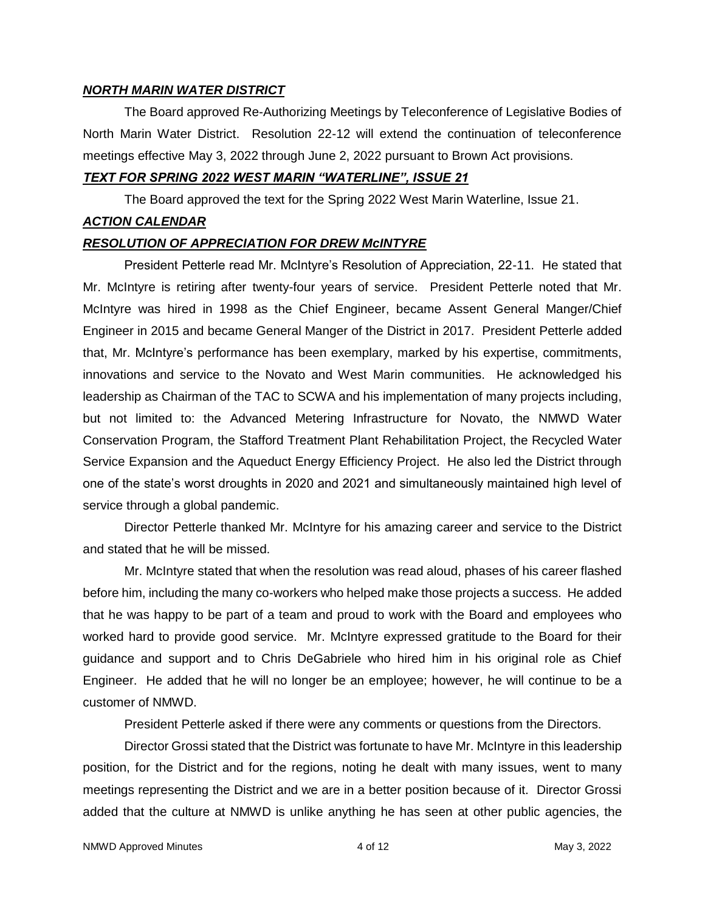#### *NORTH MARIN WATER DISTRICT*

The Board approved Re-Authorizing Meetings by Teleconference of Legislative Bodies of North Marin Water District. Resolution 22-12 will extend the continuation of teleconference meetings effective May 3, 2022 through June 2, 2022 pursuant to Brown Act provisions.

#### *TEXT FOR SPRING 2022 WEST MARIN "WATERLINE", ISSUE 21*

The Board approved the text for the Spring 2022 West Marin Waterline, Issue 21.

#### *ACTION CALENDAR*

### *RESOLUTION OF APPRECIATION FOR DREW McINTYRE*

President Petterle read Mr. McIntyre's Resolution of Appreciation, 22-11. He stated that Mr. McIntyre is retiring after twenty-four years of service. President Petterle noted that Mr. McIntyre was hired in 1998 as the Chief Engineer, became Assent General Manger/Chief Engineer in 2015 and became General Manger of the District in 2017. President Petterle added that, Mr. McIntyre's performance has been exemplary, marked by his expertise, commitments, innovations and service to the Novato and West Marin communities. He acknowledged his leadership as Chairman of the TAC to SCWA and his implementation of many projects including, but not limited to: the Advanced Metering Infrastructure for Novato, the NMWD Water Conservation Program, the Stafford Treatment Plant Rehabilitation Project, the Recycled Water Service Expansion and the Aqueduct Energy Efficiency Project. He also led the District through one of the state's worst droughts in 2020 and 2021 and simultaneously maintained high level of service through a global pandemic.

Director Petterle thanked Mr. McIntyre for his amazing career and service to the District and stated that he will be missed.

Mr. McIntyre stated that when the resolution was read aloud, phases of his career flashed before him, including the many co-workers who helped make those projects a success. He added that he was happy to be part of a team and proud to work with the Board and employees who worked hard to provide good service. Mr. McIntyre expressed gratitude to the Board for their guidance and support and to Chris DeGabriele who hired him in his original role as Chief Engineer. He added that he will no longer be an employee; however, he will continue to be a customer of NMWD.

President Petterle asked if there were any comments or questions from the Directors.

Director Grossi stated that the District was fortunate to have Mr. McIntyre in this leadership position, for the District and for the regions, noting he dealt with many issues, went to many meetings representing the District and we are in a better position because of it. Director Grossi added that the culture at NMWD is unlike anything he has seen at other public agencies, the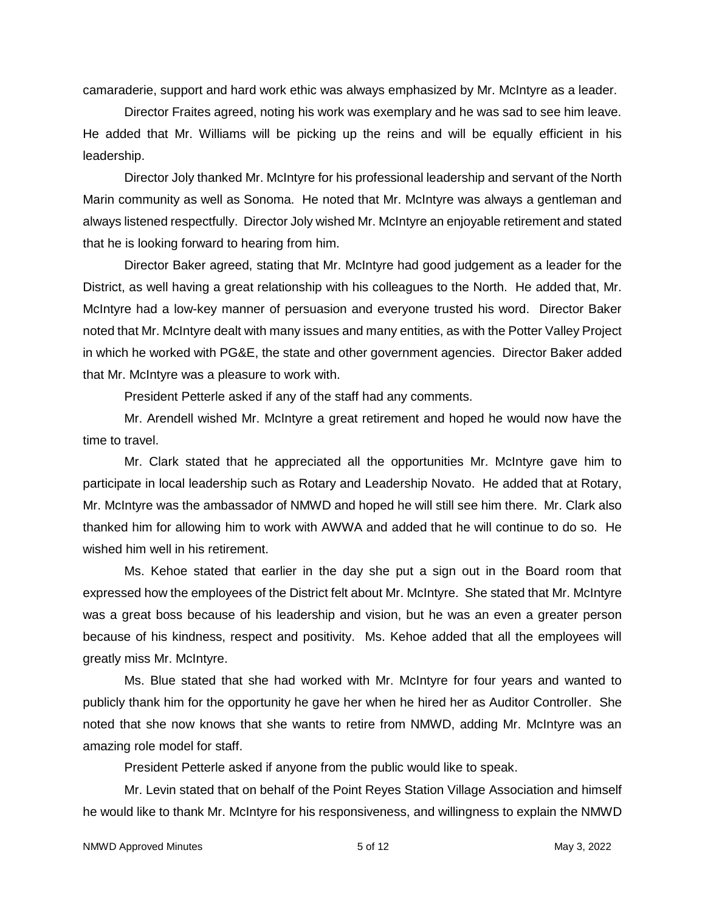camaraderie, support and hard work ethic was always emphasized by Mr. McIntyre as a leader.

Director Fraites agreed, noting his work was exemplary and he was sad to see him leave. He added that Mr. Williams will be picking up the reins and will be equally efficient in his leadership.

Director Joly thanked Mr. McIntyre for his professional leadership and servant of the North Marin community as well as Sonoma. He noted that Mr. McIntyre was always a gentleman and always listened respectfully. Director Joly wished Mr. McIntyre an enjoyable retirement and stated that he is looking forward to hearing from him.

Director Baker agreed, stating that Mr. McIntyre had good judgement as a leader for the District, as well having a great relationship with his colleagues to the North. He added that, Mr. McIntyre had a low-key manner of persuasion and everyone trusted his word. Director Baker noted that Mr. McIntyre dealt with many issues and many entities, as with the Potter Valley Project in which he worked with PG&E, the state and other government agencies. Director Baker added that Mr. McIntyre was a pleasure to work with.

President Petterle asked if any of the staff had any comments.

Mr. Arendell wished Mr. McIntyre a great retirement and hoped he would now have the time to travel.

Mr. Clark stated that he appreciated all the opportunities Mr. McIntyre gave him to participate in local leadership such as Rotary and Leadership Novato. He added that at Rotary, Mr. McIntyre was the ambassador of NMWD and hoped he will still see him there. Mr. Clark also thanked him for allowing him to work with AWWA and added that he will continue to do so. He wished him well in his retirement.

Ms. Kehoe stated that earlier in the day she put a sign out in the Board room that expressed how the employees of the District felt about Mr. McIntyre. She stated that Mr. McIntyre was a great boss because of his leadership and vision, but he was an even a greater person because of his kindness, respect and positivity. Ms. Kehoe added that all the employees will greatly miss Mr. McIntyre.

Ms. Blue stated that she had worked with Mr. McIntyre for four years and wanted to publicly thank him for the opportunity he gave her when he hired her as Auditor Controller. She noted that she now knows that she wants to retire from NMWD, adding Mr. McIntyre was an amazing role model for staff.

President Petterle asked if anyone from the public would like to speak.

Mr. Levin stated that on behalf of the Point Reyes Station Village Association and himself he would like to thank Mr. McIntyre for his responsiveness, and willingness to explain the NMWD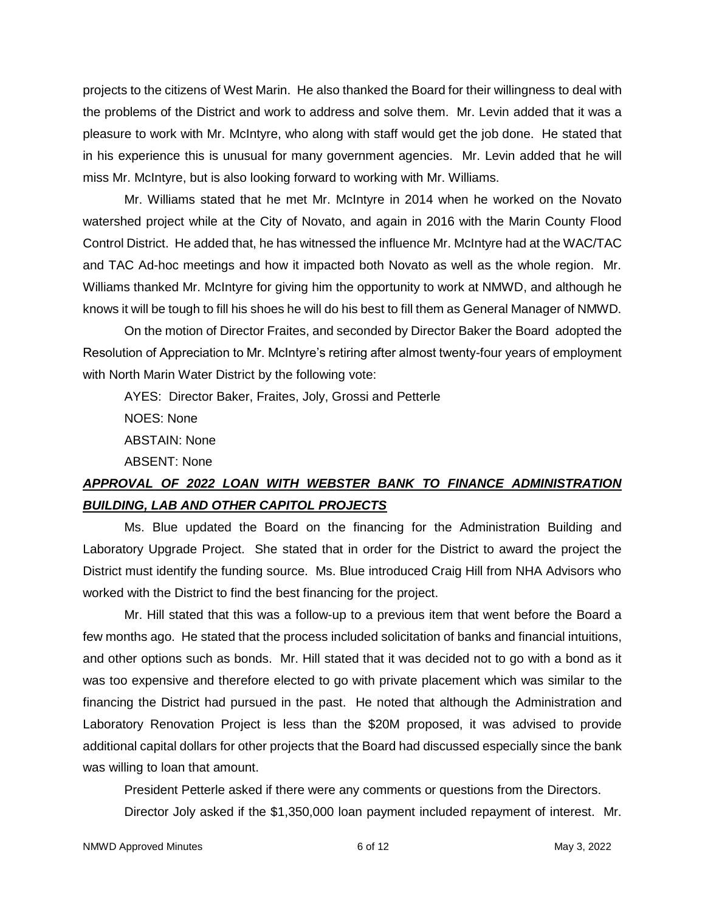projects to the citizens of West Marin. He also thanked the Board for their willingness to deal with the problems of the District and work to address and solve them. Mr. Levin added that it was a pleasure to work with Mr. McIntyre, who along with staff would get the job done. He stated that in his experience this is unusual for many government agencies. Mr. Levin added that he will miss Mr. McIntyre, but is also looking forward to working with Mr. Williams.

Mr. Williams stated that he met Mr. McIntyre in 2014 when he worked on the Novato watershed project while at the City of Novato, and again in 2016 with the Marin County Flood Control District. He added that, he has witnessed the influence Mr. McIntyre had at the WAC/TAC and TAC Ad-hoc meetings and how it impacted both Novato as well as the whole region. Mr. Williams thanked Mr. McIntyre for giving him the opportunity to work at NMWD, and although he knows it will be tough to fill his shoes he will do his best to fill them as General Manager of NMWD.

On the motion of Director Fraites, and seconded by Director Baker the Board adopted the Resolution of Appreciation to Mr. McIntyre's retiring after almost twenty-four years of employment with North Marin Water District by the following vote:

AYES: Director Baker, Fraites, Joly, Grossi and Petterle

NOES: None

ABSTAIN: None

ABSENT: None

# *APPROVAL OF 2022 LOAN WITH WEBSTER BANK TO FINANCE ADMINISTRATION BUILDING, LAB AND OTHER CAPITOL PROJECTS*

Ms. Blue updated the Board on the financing for the Administration Building and Laboratory Upgrade Project. She stated that in order for the District to award the project the District must identify the funding source. Ms. Blue introduced Craig Hill from NHA Advisors who worked with the District to find the best financing for the project.

Mr. Hill stated that this was a follow-up to a previous item that went before the Board a few months ago. He stated that the process included solicitation of banks and financial intuitions, and other options such as bonds. Mr. Hill stated that it was decided not to go with a bond as it was too expensive and therefore elected to go with private placement which was similar to the financing the District had pursued in the past. He noted that although the Administration and Laboratory Renovation Project is less than the \$20M proposed, it was advised to provide additional capital dollars for other projects that the Board had discussed especially since the bank was willing to loan that amount.

President Petterle asked if there were any comments or questions from the Directors.

Director Joly asked if the \$1,350,000 loan payment included repayment of interest. Mr.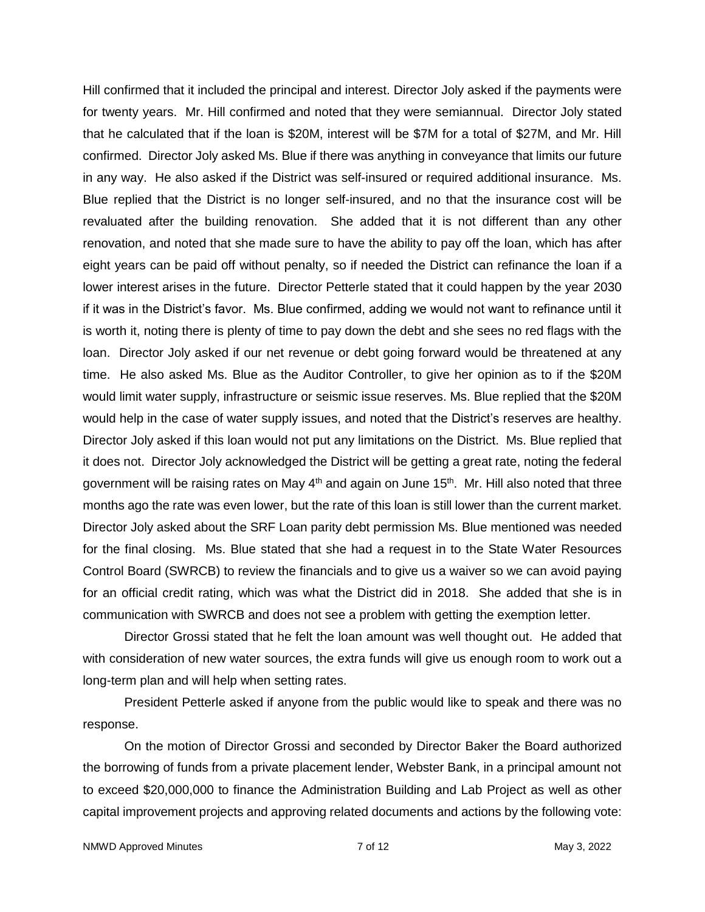Hill confirmed that it included the principal and interest. Director Joly asked if the payments were for twenty years. Mr. Hill confirmed and noted that they were semiannual. Director Joly stated that he calculated that if the loan is \$20M, interest will be \$7M for a total of \$27M, and Mr. Hill confirmed. Director Joly asked Ms. Blue if there was anything in conveyance that limits our future in any way. He also asked if the District was self-insured or required additional insurance. Ms. Blue replied that the District is no longer self-insured, and no that the insurance cost will be revaluated after the building renovation. She added that it is not different than any other renovation, and noted that she made sure to have the ability to pay off the loan, which has after eight years can be paid off without penalty, so if needed the District can refinance the loan if a lower interest arises in the future. Director Petterle stated that it could happen by the year 2030 if it was in the District's favor. Ms. Blue confirmed, adding we would not want to refinance until it is worth it, noting there is plenty of time to pay down the debt and she sees no red flags with the loan. Director Joly asked if our net revenue or debt going forward would be threatened at any time. He also asked Ms. Blue as the Auditor Controller, to give her opinion as to if the \$20M would limit water supply, infrastructure or seismic issue reserves. Ms. Blue replied that the \$20M would help in the case of water supply issues, and noted that the District's reserves are healthy. Director Joly asked if this loan would not put any limitations on the District. Ms. Blue replied that it does not. Director Joly acknowledged the District will be getting a great rate, noting the federal government will be raising rates on May  $4<sup>th</sup>$  and again on June 15<sup>th</sup>. Mr. Hill also noted that three months ago the rate was even lower, but the rate of this loan is still lower than the current market. Director Joly asked about the SRF Loan parity debt permission Ms. Blue mentioned was needed for the final closing. Ms. Blue stated that she had a request in to the State Water Resources Control Board (SWRCB) to review the financials and to give us a waiver so we can avoid paying for an official credit rating, which was what the District did in 2018. She added that she is in communication with SWRCB and does not see a problem with getting the exemption letter.

Director Grossi stated that he felt the loan amount was well thought out. He added that with consideration of new water sources, the extra funds will give us enough room to work out a long-term plan and will help when setting rates.

President Petterle asked if anyone from the public would like to speak and there was no response.

On the motion of Director Grossi and seconded by Director Baker the Board authorized the borrowing of funds from a private placement lender, Webster Bank, in a principal amount not to exceed \$20,000,000 to finance the Administration Building and Lab Project as well as other capital improvement projects and approving related documents and actions by the following vote: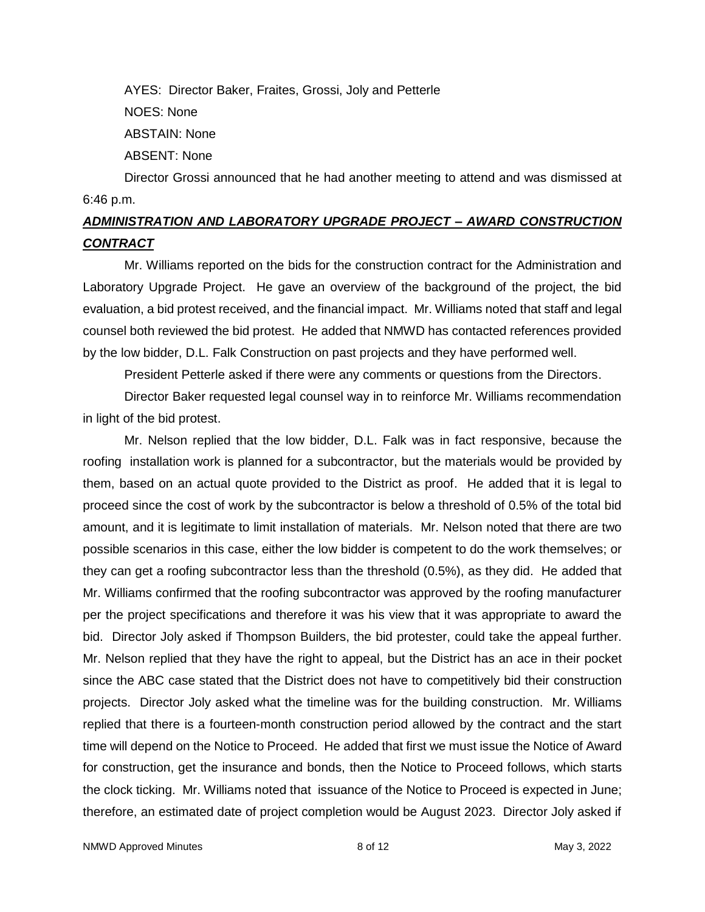AYES: Director Baker, Fraites, Grossi, Joly and Petterle

NOES: None

ABSTAIN: None

ABSENT: None

Director Grossi announced that he had another meeting to attend and was dismissed at 6:46 p.m.

# *ADMINISTRATION AND LABORATORY UPGRADE PROJECT – AWARD CONSTRUCTION CONTRACT*

Mr. Williams reported on the bids for the construction contract for the Administration and Laboratory Upgrade Project. He gave an overview of the background of the project, the bid evaluation, a bid protest received, and the financial impact. Mr. Williams noted that staff and legal counsel both reviewed the bid protest. He added that NMWD has contacted references provided by the low bidder, D.L. Falk Construction on past projects and they have performed well.

President Petterle asked if there were any comments or questions from the Directors.

Director Baker requested legal counsel way in to reinforce Mr. Williams recommendation in light of the bid protest.

Mr. Nelson replied that the low bidder, D.L. Falk was in fact responsive, because the roofing installation work is planned for a subcontractor, but the materials would be provided by them, based on an actual quote provided to the District as proof. He added that it is legal to proceed since the cost of work by the subcontractor is below a threshold of 0.5% of the total bid amount, and it is legitimate to limit installation of materials. Mr. Nelson noted that there are two possible scenarios in this case, either the low bidder is competent to do the work themselves; or they can get a roofing subcontractor less than the threshold (0.5%), as they did. He added that Mr. Williams confirmed that the roofing subcontractor was approved by the roofing manufacturer per the project specifications and therefore it was his view that it was appropriate to award the bid. Director Joly asked if Thompson Builders, the bid protester, could take the appeal further. Mr. Nelson replied that they have the right to appeal, but the District has an ace in their pocket since the ABC case stated that the District does not have to competitively bid their construction projects. Director Joly asked what the timeline was for the building construction. Mr. Williams replied that there is a fourteen-month construction period allowed by the contract and the start time will depend on the Notice to Proceed. He added that first we must issue the Notice of Award for construction, get the insurance and bonds, then the Notice to Proceed follows, which starts the clock ticking. Mr. Williams noted that issuance of the Notice to Proceed is expected in June; therefore, an estimated date of project completion would be August 2023. Director Joly asked if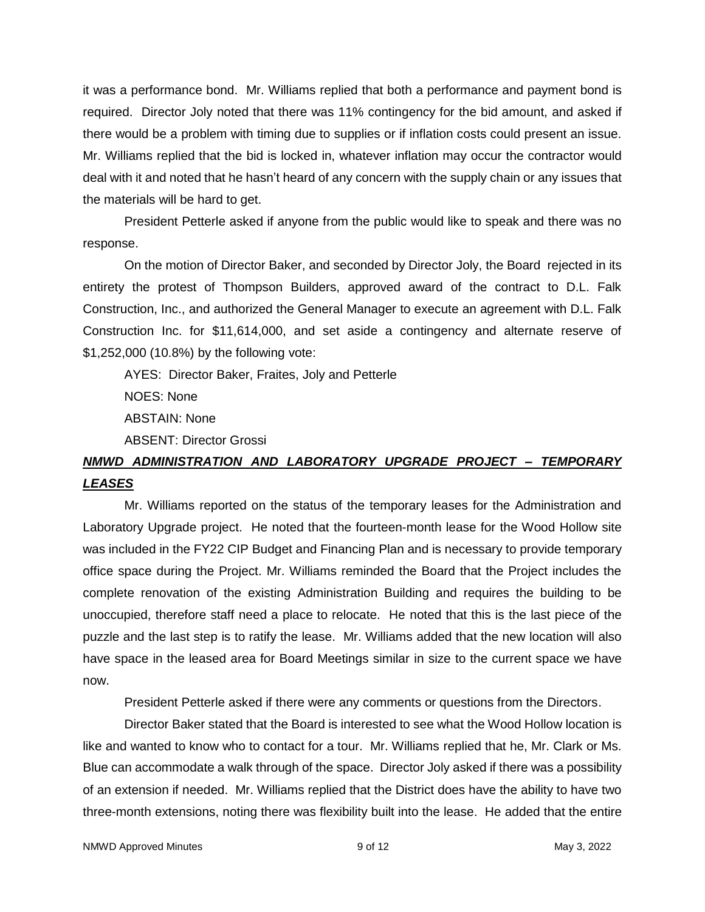it was a performance bond. Mr. Williams replied that both a performance and payment bond is required. Director Joly noted that there was 11% contingency for the bid amount, and asked if there would be a problem with timing due to supplies or if inflation costs could present an issue. Mr. Williams replied that the bid is locked in, whatever inflation may occur the contractor would deal with it and noted that he hasn't heard of any concern with the supply chain or any issues that the materials will be hard to get.

President Petterle asked if anyone from the public would like to speak and there was no response.

On the motion of Director Baker, and seconded by Director Joly, the Board rejected in its entirety the protest of Thompson Builders, approved award of the contract to D.L. Falk Construction, Inc., and authorized the General Manager to execute an agreement with D.L. Falk Construction Inc. for \$11,614,000, and set aside a contingency and alternate reserve of \$1,252,000 (10.8%) by the following vote:

AYES: Director Baker, Fraites, Joly and Petterle NOES: None ABSTAIN: None ABSENT: Director Grossi

# *NMWD ADMINISTRATION AND LABORATORY UPGRADE PROJECT – TEMPORARY LEASES*

Mr. Williams reported on the status of the temporary leases for the Administration and Laboratory Upgrade project. He noted that the fourteen-month lease for the Wood Hollow site was included in the FY22 CIP Budget and Financing Plan and is necessary to provide temporary office space during the Project. Mr. Williams reminded the Board that the Project includes the complete renovation of the existing Administration Building and requires the building to be unoccupied, therefore staff need a place to relocate. He noted that this is the last piece of the puzzle and the last step is to ratify the lease. Mr. Williams added that the new location will also have space in the leased area for Board Meetings similar in size to the current space we have now.

President Petterle asked if there were any comments or questions from the Directors.

Director Baker stated that the Board is interested to see what the Wood Hollow location is like and wanted to know who to contact for a tour. Mr. Williams replied that he, Mr. Clark or Ms. Blue can accommodate a walk through of the space. Director Joly asked if there was a possibility of an extension if needed. Mr. Williams replied that the District does have the ability to have two three-month extensions, noting there was flexibility built into the lease. He added that the entire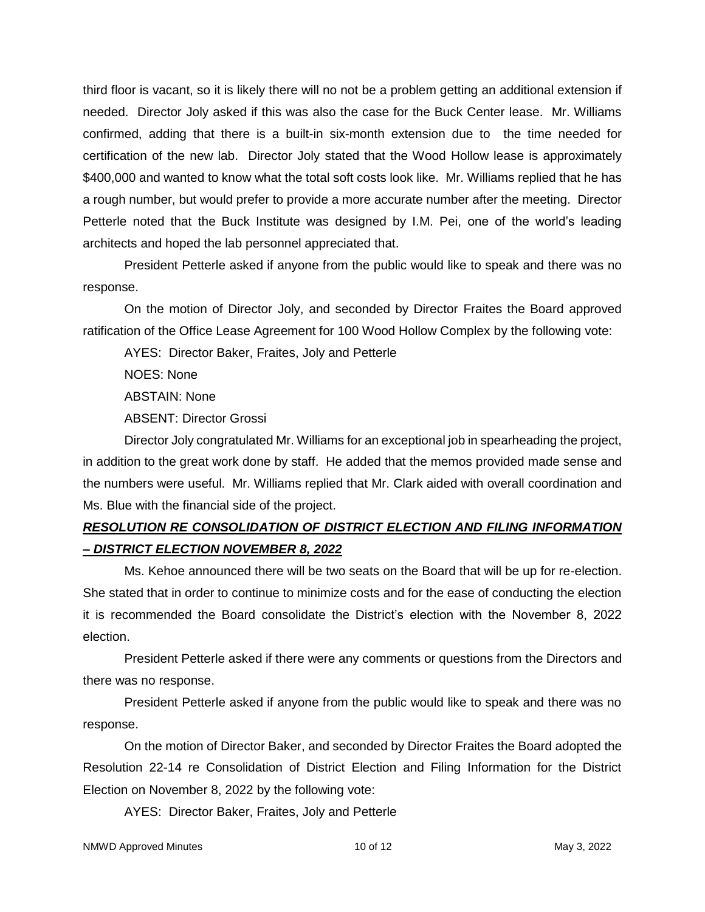third floor is vacant, so it is likely there will no not be a problem getting an additional extension if needed. Director Joly asked if this was also the case for the Buck Center lease. Mr. Williams confirmed, adding that there is a built-in six-month extension due to the time needed for certification of the new lab. Director Joly stated that the Wood Hollow lease is approximately \$400,000 and wanted to know what the total soft costs look like. Mr. Williams replied that he has a rough number, but would prefer to provide a more accurate number after the meeting. Director Petterle noted that the Buck Institute was designed by I.M. Pei, one of the world's leading architects and hoped the lab personnel appreciated that.

President Petterle asked if anyone from the public would like to speak and there was no response.

On the motion of Director Joly, and seconded by Director Fraites the Board approved ratification of the Office Lease Agreement for 100 Wood Hollow Complex by the following vote:

AYES: Director Baker, Fraites, Joly and Petterle

NOES: None

ABSTAIN: None

ABSENT: Director Grossi

Director Joly congratulated Mr. Williams for an exceptional job in spearheading the project, in addition to the great work done by staff. He added that the memos provided made sense and the numbers were useful. Mr. Williams replied that Mr. Clark aided with overall coordination and Ms. Blue with the financial side of the project.

# *RESOLUTION RE CONSOLIDATION OF DISTRICT ELECTION AND FILING INFORMATION – DISTRICT ELECTION NOVEMBER 8, 2022*

Ms. Kehoe announced there will be two seats on the Board that will be up for re-election. She stated that in order to continue to minimize costs and for the ease of conducting the election it is recommended the Board consolidate the District's election with the November 8, 2022 election.

President Petterle asked if there were any comments or questions from the Directors and there was no response.

President Petterle asked if anyone from the public would like to speak and there was no response.

On the motion of Director Baker, and seconded by Director Fraites the Board adopted the Resolution 22-14 re Consolidation of District Election and Filing Information for the District Election on November 8, 2022 by the following vote:

AYES: Director Baker, Fraites, Joly and Petterle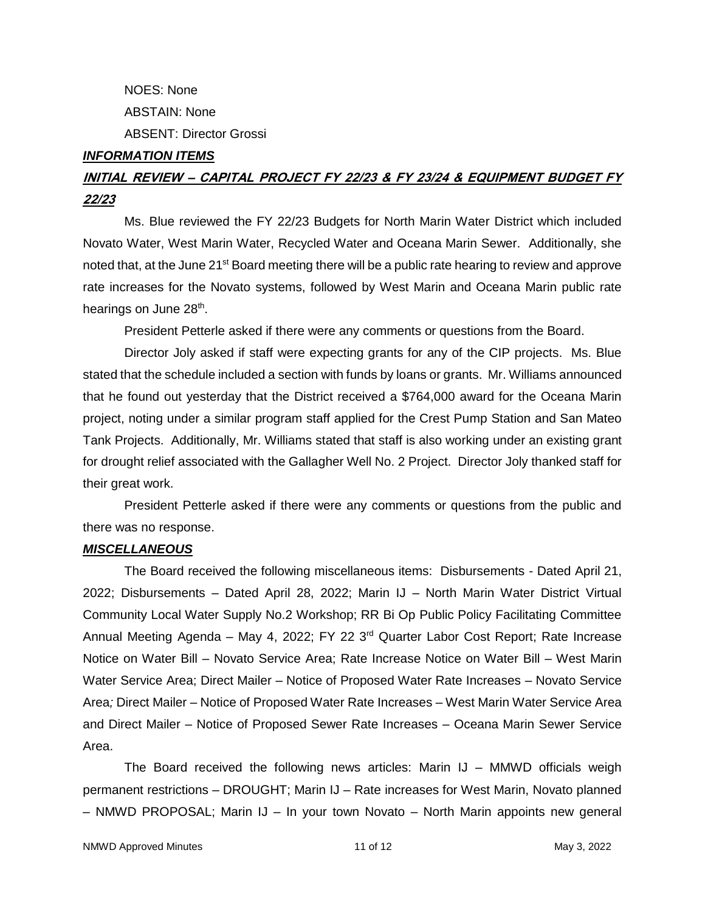NOES: None ABSTAIN: None ABSENT: Director Grossi

#### *INFORMATION ITEMS*

# **INITIAL REVIEW – CAPITAL PROJECT FY 22/23 & FY 23/24 & EQUIPMENT BUDGET FY 22/23**

Ms. Blue reviewed the FY 22/23 Budgets for North Marin Water District which included Novato Water, West Marin Water, Recycled Water and Oceana Marin Sewer. Additionally, she noted that, at the June 21<sup>st</sup> Board meeting there will be a public rate hearing to review and approve rate increases for the Novato systems, followed by West Marin and Oceana Marin public rate hearings on June 28<sup>th</sup>.

President Petterle asked if there were any comments or questions from the Board.

Director Joly asked if staff were expecting grants for any of the CIP projects. Ms. Blue stated that the schedule included a section with funds by loans or grants. Mr. Williams announced that he found out yesterday that the District received a \$764,000 award for the Oceana Marin project, noting under a similar program staff applied for the Crest Pump Station and San Mateo Tank Projects. Additionally, Mr. Williams stated that staff is also working under an existing grant for drought relief associated with the Gallagher Well No. 2 Project. Director Joly thanked staff for their great work.

President Petterle asked if there were any comments or questions from the public and there was no response.

### *MISCELLANEOUS*

The Board received the following miscellaneous items: Disbursements - Dated April 21, 2022; Disbursements – Dated April 28, 2022; Marin IJ – North Marin Water District Virtual Community Local Water Supply No.2 Workshop; RR Bi Op Public Policy Facilitating Committee Annual Meeting Agenda – May 4, 2022; FY 22 3<sup>rd</sup> Quarter Labor Cost Report; Rate Increase Notice on Water Bill – Novato Service Area; Rate Increase Notice on Water Bill – West Marin Water Service Area; Direct Mailer – Notice of Proposed Water Rate Increases – Novato Service Area*;* Direct Mailer – Notice of Proposed Water Rate Increases – West Marin Water Service Area and Direct Mailer – Notice of Proposed Sewer Rate Increases – Oceana Marin Sewer Service Area.

The Board received the following news articles: Marin IJ – MMWD officials weigh permanent restrictions – DROUGHT; Marin IJ – Rate increases for West Marin, Novato planned – NMWD PROPOSAL; Marin IJ – In your town Novato – North Marin appoints new general